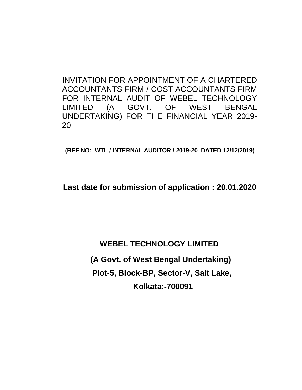INVITATION FOR APPOINTMENT OF A CHARTERED ACCOUNTANTS FIRM / COST ACCOUNTANTS FIRM FOR INTERNAL AUDIT OF WEBEL TECHNOLOGY LIMITED (A GOVT. OF WEST BENGAL UNDERTAKING) FOR THE FINANCIAL YEAR 2019- 20

**(REF NO: WTL / INTERNAL AUDITOR / 2019-20 DATED 12/12/2019)**

**Last date for submission of application : 20.01.2020**

**WEBEL TECHNOLOGY LIMITED (A Govt. of West Bengal Undertaking) Plot-5, Block-BP, Sector-V, Salt Lake, Kolkata:-700091**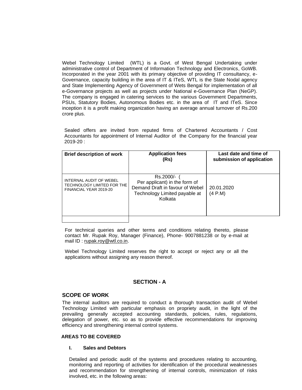Webel Technology Limited (WTL) is a Govt. of West Bengal Undertaking under administrative control of Department of Information Technology and Electronics, GoWB. Incorporated in the year 2001 with its primary objective of providing IT consultancy, e-Governance, capacity building in the area of IT & ITeS, WTL is the State Nodal agency and State Implementing Agency of Government of Wets Bengal for implementation of all e-Governance projects as well as projects under National e-Governance Plan (NeGP). The company is engaged in catering services to the various Government Departments, PSUs, Statutory Bodies, Autonomous Bodies etc. in the area of IT and ITeS. Since inception it is a profit making organization having an average annual turnover of Rs.200 crore plus.

Sealed offers are invited from reputed firms of Chartered Accountants / Cost Accountants for appointment of Internal Auditor of the Company for the financial year 2019-20 :

| <b>Brief description of work</b>                                                | <b>Application fees</b><br>(Rs)                                                                                           | Last date and time of<br>submission of application |  |  |  |
|---------------------------------------------------------------------------------|---------------------------------------------------------------------------------------------------------------------------|----------------------------------------------------|--|--|--|
| INTERNAL AUDIT OF WEBEL<br>TECHNOLOGY LIMITED FOR THE<br>FINANCIAL YEAR 2019-20 | Rs.2000/-<br>Per applicant) in the form of<br>Demand Draft in favour of Webel<br>Technology Limited payable at<br>Kolkata | 20.01.2020<br>(4 P.M)                              |  |  |  |
|                                                                                 |                                                                                                                           |                                                    |  |  |  |

For technical queries and other terms and conditions relating thereto, please contact Mr. Rupak Roy, Manager (Finance), Phone- 9007881238 or by e-mail at mail ID : [rupak.roy@wtl.co.in.](mailto:rupak.roy@wtl.co.in)

Webel Technology Limited reserves the right to accept or reject any or all the applications without assigning any reason thereof.

# **SECTION - A**

## **SCOPE OF WORK**

The internal auditors are required to conduct a thorough transaction audit of Webel Technology Limited with particular emphasis on propriety audit, in the light of the prevailing generally accepted accounting standards, policies, rules, regulations, delegation of power, etc. so as to provide effective recommendations for improving efficiency and strengthening internal control systems.

# **AREAS TO BE COVERED**

## **I. Sales and Debtors**

Detailed and periodic audit of the systems and procedures relating to accounting, monitoring and reporting of activities for identification of the procedural weaknesses and recommendation for strengthening of internal controls, minimization of risks involved, etc. in the following areas: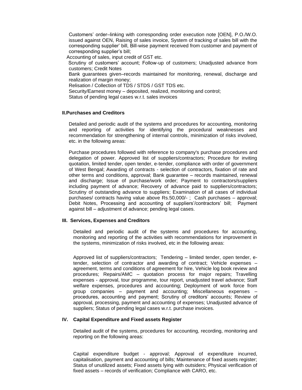Customers' order–linking with corresponding order execution note [OEN], P.O./W.O. issued against OEN, Raising of sales invoice, System of tracking of sales bill with the corresponding supplier' bill, Bill-wise payment received from customer and payment of corresponding supplier's bill;

Accounting of sales, input credit of GST etc.

 Scrutiny of customers' account; Follow-up of customers; Unadjusted advance from customers; Credit Notes

Bank guarantees given–records maintained for monitoring, renewal, discharge and realization of margin money;

Relisation / Collection of TDS / STDS / GST TDS etc.

Security/Earnest money – deposited, realized, monitoring and control;

Status of pending legal cases w.r.t. sales invoices

#### **II.Purchases and Creditors**

Detailed and periodic audit of the systems and procedures for accounting, monitoring and reporting of activities for identifying the procedural weaknesses and recommendation for strengthening of internal controls, minimization of risks involved, etc. in the following areas:

Purchase procedures followed with reference to company's purchase procedures and delegation of power. Approved list of suppliers/contractors; Procedure for inviting quotation, limited tender, open tender, e-tender, compliance with order of government of West Bengal; Awarding of contracts - selection of contractors, fixation of rate and other terms and conditions, approval; Bank guarantee – records maintained, renewal and discharge; Issue of purchase/work order; Payment to contractors/suppliers including payment of advance; Recovery of advance paid to suppliers/contractors; Scrutiny of outstanding advance to suppliers; Examination of all cases of individual purchases/ contracts having value above Rs.50,000/- ; Cash purchases – approval; Debit Notes, Processing and accounting of suppliers'/contractors' bill; Payment against bill – adjustment of advance; pending legal cases.

## **III. Services, Expenses and Creditors**

Detailed and periodic audit of the systems and procedures for accounting, monitoring and reporting of the activities with recommendations for improvement in the systems, minimization of risks involved, etc in the following areas:

Approved list of suppliers/contractors; Tendering – limited tender, open tender, etender, selection of contractor and awarding of contract; Vehicle expenses – agreement, terms and conditions of agreement for hire, Vehicle log book review and procedures; Repairs/AMC – quotation process for major repairs; Travelling expenses - approval, tour programme, tour report, unadjusted travel advance; Staff welfare expenses, procedures and accounting; Deployment of work force from group companies – payment and accounting; Miscellaneous expenses – procedures, accounting and payment; Scrutiny of creditors' accounts; Review of approval, processing, payment and accounting of expenses; Unadjusted advance of suppliers; Status of pending legal cases w.r.t. purchase invoices.

## **IV. Capital Expenditure and Fixed assets Register**

Detailed audit of the systems, procedures for accounting, recording, monitoring and reporting on the following areas:

Capital expenditure budget - approval; Approval of expenditure incurred, capitalisation, payment and accounting of bills; Maintenance of fixed assets register; Status of unutilized assets; Fixed assets lying with outsiders; Physical verification of fixed assets – records of verification; Compliance with CARO, etc.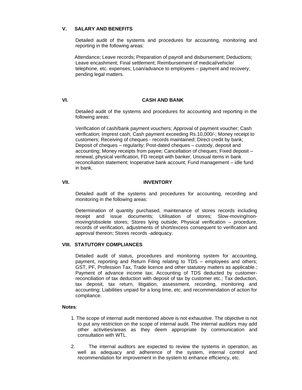# **V. SALARY AND BENEFITS**

Detailed audit of the systems and procedures for accounting, monitoring and reporting in the following areas:

Attendance; Leave records; Preparation of payroll and disbursement; Deductions; Leave encashment; Final settlement; Reimbursement of medical/vehicle/ telephone, etc. expenses; Loan/advance to employees – payment and recovery; pending legal matters.

## **VI. CASH AND BANK**

Detailed audit of the systems and procedures for accounting and reporting in the following areas:

Verification of cash/bank payment vouchers; Approval of payment voucher; Cash verification; Imprest cash; Cash payment exceeding Rs.10,000/-; Money receipt to customers; Receiving of cheques - records maintained; Direct credit by bank; Deposit of cheques – regularity; Post-dated cheques – custody, deposit and accounting; Money receipts from payee; Cancellation of cheques; Fixed deposit – renewal, physical verification, FD receipt with banker; Unusual items in bank reconciliation statement; Inoperative bank account; Fund management – idle fund in bank.

## **VII. INVENTORY**

Detailed audit of the systems and procedures for accounting, recording and monitoring in the following areas:

Determination of quantity purchased, maintenance of stores records including receipt and issue documents; Utilisation of stores; Slow-moving/nonmoving/obsolete stores; Stores lying outside; Physical verification – procedure, records of verification, adjustments of short/excess consequent to verification and approval thereon; Stores records -adequacy.

#### **VIII. STATUTORY COMPLIANCES**

Detailed audit of status, procedures and monitoring system for accounting, payment, reporting and Return Filing relating to TDS – employees and others; GST, PF, Profession Tax, Trade licence and other statutory matters as applicable.; Payment of advance income tax; Accounting of TDS deducted by customerreconciliation of tax deduction with deposit of tax by customer etc.; Tax deduction, tax deposit, tax return, litigation, assessment, recording, monitoring and accounting; Liabilities unpaid for a long time, etc. and recommendation of action for compliance.

## **Notes**:

- 1. The scope of internal audit mentioned above is not exhaustive. The objective is not to put any restriction on the scope of internal audit. The internal auditors may add other activities/areas as they deem appropriate by communication and consultation with WTL.
- 2. The internal auditors are expected to review the systems in operation, as well as adequacy and adherence of the system, internal control and recommendation for improvement in the system to enhance efficiency, etc.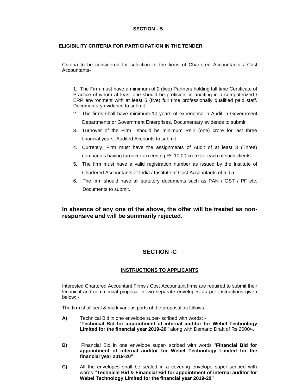# **SECTION - B**

# **ELIGIBILITY CRITERIA FOR PARTICIPATION IN THE TENDER**

Criteria to be considered for selection of the firms of Chartered Accountants / Cost Accountants-

1. The Firm must have a minimum of 2 (two) Partners holding full time Certificate of Practice of whom at least one should be proficient in auditing in a computerized / ERP environment with at least 5 (five) full time professionally qualified paid staff. Documentary evidence to submit.

- 2. The firms shall have minimum 10 years of experience in Audit in Government Departments or Government Enterprises. Documentary evidence to submit.
- 3. Turnover of the Firm should be minimum Rs.1 (one) crore for last three financial years. Audited Accounts to submit.
- 4. Currently, Firm must have the assignments of Audit of at least 3 (Three) companies having turnover exceeding Rs.10.00 crore for each of such clients.
- 5. The firm must have a valid registration number as issued by the Institute of Chartered Accountants of India / Institute of Cost Accountants of India
- 6. The firm should have all statutory documents such as PAN / GST / PF etc. Documents to submit.

# **In absence of any one of the above, the offer will be treated as nonresponsive and will be summarily rejected.**

# **SECTION -C**

# **INSTRUCTIONS TO APPLICANTS**

Interested Chartered Accountant Firms / Cost Accountant firms are required to submit their technical and commercial proposal in two separate envelopes as per instructions given below: -

The firm shall seal & mark various parts of the proposal as follows:

- **A)** Technical Bid in one envelope super- scribed with words: "**Technical Bid for appointment of internal auditor for Webel Technology Limited for the financial year 2019-20"** along with Demand Draft of Rs.2000/-.
- **B)** Financial Bid in one envelope super- scribed with words "**Financial Bid for appointment of internal auditor for Webel Technology Limited for the financial year 2019-20"**
- **C)** All the envelopes shall be sealed in a covering envelope super scribed with words **"Technical Bid & Financial Bid for appointment of internal auditor for Webel Technology Limited for the financial year 2019-20"**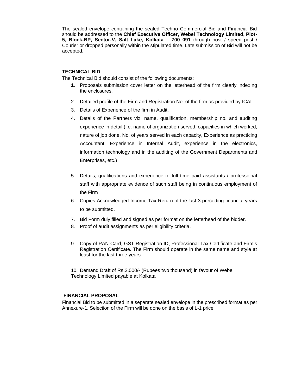The sealed envelope containing the sealed Techno Commercial Bid and Financial Bid should be addressed to the **Chief Executive Officer, Webel Technology Limited, Plot-5, Block-BP, Sector-V, Salt Lake, Kolkata – 700 091** through post / speed post / Courier or dropped personally within the stipulated time. Late submission of Bid will not be accepted.

## **TECHNICAL BID**

The Technical Bid should consist of the following documents:

- **1.** Proposals submission cover letter on the letterhead of the firm clearly indexing the enclosures.
- 2. Detailed profile of the Firm and Registration No. of the firm as provided by ICAI.
- 3. Details of Experience of the firm in Audit.
- 4. Details of the Partners viz. name, qualification, membership no. and auditing experience in detail (i.e. name of organization served, capacities in which worked, nature of job done, No. of years served in each capacity, Experience as practicing Accountant, Experience in Internal Audit, experience in the electronics, information technology and in the auditing of the Government Departments and Enterprises, etc.)
- 5. Details, qualifications and experience of full time paid assistants / professional staff with appropriate evidence of such staff being in continuous employment of the Firm
- 6. Copies Acknowledged Income Tax Return of the last 3 preceding financial years to be submitted.
- 7. Bid Form duly filled and signed as per format on the letterhead of the bidder.
- 8. Proof of audit assignments as per eligibility criteria.
- 9. Copy of PAN Card, GST Registration ID, Professional Tax Certificate and Firm's Registration Certificate. The Firm should operate in the same name and style at least for the last three years.

10. Demand Draft of Rs.2,000/- (Rupees two thousand) in favour of Webel Technology Limited payable at Kolkata

# **FINANCIAL PROPOSAL**

Financial Bid to be submitted in a separate sealed envelope in the prescribed format as per Annexure-1. Selection of the Firm will be done on the basis of L-1 price.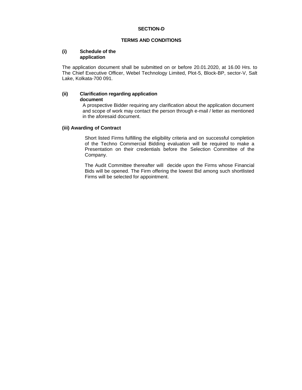#### **TERMS AND CONDITIONS**

## **(i) Schedule of the application**

The application document shall be submitted on or before 20.01.2020, at 16.00 Hrs. to The Chief Executive Officer, Webel Technology Limited, Plot-5, Block-BP, sector-V, Salt Lake, Kolkata-700 091.

#### **(ii) Clarification regarding application document**

A prospective Bidder requiring any clarification about the application document and scope of work may contact the person through e-mail / letter as mentioned in the aforesaid document.

# **(iii) Awarding of Contract**

Short listed Firms fulfilling the eligibility criteria and on successful completion of the Techno Commercial Bidding evaluation will be required to make a Presentation on their credentials before the Selection Committee of the Company.

The Audit Committee thereafter will decide upon the Firms whose Financial Bids will be opened. The Firm offering the lowest Bid among such shortlisted Firms will be selected for appointment.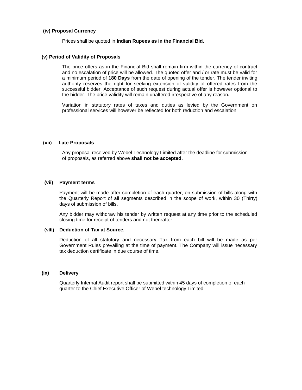### **(iv) Proposal Currency**

Prices shall be quoted in **Indian Rupees as in the Financial Bid.**

#### **(v) Period of Validity of Proposals**

The price offers as in the Financial Bid shall remain firm within the currency of contract and no escalation of price will be allowed. The quoted offer and / or rate must be valid for a minimum period of **180 Days** from the date of opening of the tender. The tender inviting authority reserves the right for seeking extension of validity of offered rates from the successful bidder. Acceptance of such request during actual offer is however optional to the bidder. The price validity will remain unaltered irrespective of any reason**.**

Variation in statutory rates of taxes and duties as levied by the Government on professional services will however be reflected for both reduction and escalation.

#### **(vii) Late Proposals**

Any proposal received by Webel Technology Limited after the deadline for submission of proposals, as referred above **shall not be accepted.**

#### **(vii) Payment terms**

Payment will be made after completion of each quarter, on submission of bills along with the Quarterly Report of all segments described in the scope of work, within 30 (Thirty) days of submission of bills.

Any bidder may withdraw his tender by written request at any time prior to the scheduled closing time for receipt of tenders and not thereafter.

#### **(viii) Deduction of Tax at Source.**

Deduction of all statutory and necessary Tax from each bill will be made as per Government Rules prevailing at the time of payment. The Company will issue necessary tax deduction certificate in due course of time.

#### **(ix) Delivery**

Quarterly Internal Audit report shall be submitted within 45 days of completion of each quarter to the Chief Executive Officer of Webel technology Limited.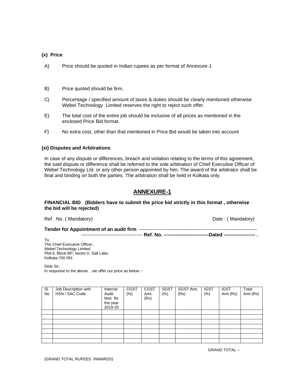#### **(x) Price**

- A) Price should be quoted in Indian rupees as per format of Annexure-1
- B) Price quoted should be firm.
- C) Percentage / specified amount of taxes & duties should be clearly mentioned otherwise Webel Technology Limited reserves the right to reject such offer.
- E) The total cost of the entire job should be inclusive of all prices as mentioned in the enclosed Price Bid format.
- F) No extra cost, other than that mentioned in Price Bid would be taken into account

# **(xi) Disputes and Arbitrations**

In case of any dispute or differences, breach and violation relating to the terms of this agreement, the said dispute or difference shall be referred to the sole arbitration of Chief Executive Officer of Webel Technology Ltd. or any other person appointed by him. The award of the arbitrator shall be final and binding on both the parties. The arbitration shall be held in Kolkata only.

# **ANNEXURE-1**

#### **FINANCIAL BID (Bidders have to submit the price bid strictly in this format , otherwise the bid will be rejected)**

Ref . No. (Mandatory) **Date : (Mandatory)** Date : (Mandatory)

**Tender for Appointment of an audit firm** ----------------------------------------------------------------------- ------------------------------------- **Ref. No. ---------------------------Dated ------------------- .**

To, The Chief Executive Officer , Webel Technology Limited Plot-5, Block-BP, sector-V, Salt Lake, Kolkata-700 091

Dear Sir,

In response to the above , we offer our price as below :-

| SI.<br><b>No</b> | Job Description with<br>HSN / SAC Code | Internal<br>Audit<br>fees for<br>the year<br>2019-20 | <b>CGST</b><br>$(\% )$ | <b>CGST</b><br>Amt.<br>(Rs) | <b>SGST</b><br>(%) | SGST Amt.<br>(Rs) | <b>IGST</b><br>$(\%)$ | <b>IGST</b><br>Amt (Rs) | Total<br>Amt (Rs) |
|------------------|----------------------------------------|------------------------------------------------------|------------------------|-----------------------------|--------------------|-------------------|-----------------------|-------------------------|-------------------|
|                  |                                        |                                                      |                        |                             |                    |                   |                       |                         |                   |
|                  |                                        |                                                      |                        |                             |                    |                   |                       |                         |                   |
|                  |                                        |                                                      |                        |                             |                    |                   |                       |                         |                   |
|                  |                                        |                                                      |                        |                             |                    |                   |                       |                         |                   |
|                  |                                        |                                                      |                        |                             |                    |                   |                       |                         |                   |
|                  |                                        |                                                      |                        |                             |                    |                   |                       |                         |                   |
|                  |                                        |                                                      |                        |                             |                    |                   |                       |                         |                   |

GRAND TOTAL –

(GRAND TOTAL RUPEES INWARDS)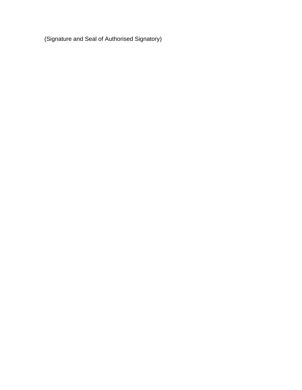(Signature and Seal of Authorised Signatory)